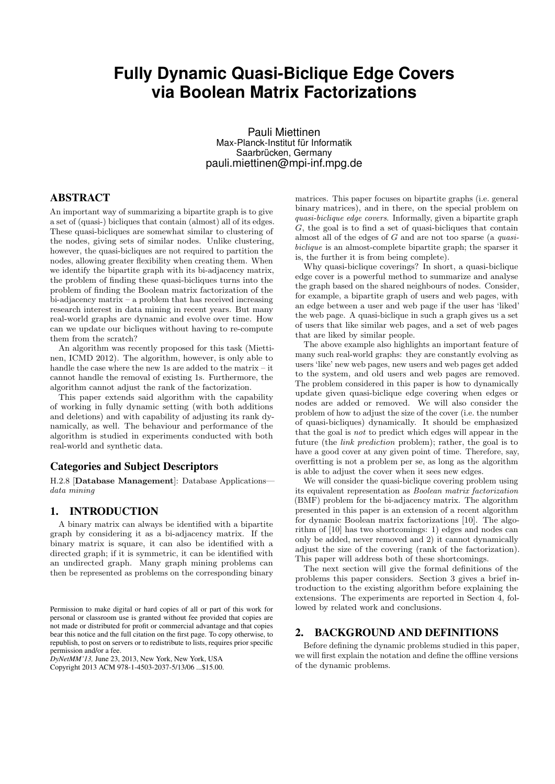# **Fully Dynamic Quasi-Biclique Edge Covers via Boolean Matrix Factorizations**

Pauli Miettinen Max-Planck-Institut für Informatik Saarbrücken, Germany pauli.miettinen@mpi-inf.mpg.de

### ABSTRACT

An important way of summarizing a bipartite graph is to give a set of (quasi-) bicliques that contain (almost) all of its edges. These quasi-bicliques are somewhat similar to clustering of the nodes, giving sets of similar nodes. Unlike clustering, however, the quasi-bicliques are not required to partition the nodes, allowing greater flexibility when creating them. When we identify the bipartite graph with its bi-adjacency matrix, the problem of finding these quasi-bicliques turns into the problem of finding the Boolean matrix factorization of the bi-adjacency matrix – a problem that has received increasing research interest in data mining in recent years. But many real-world graphs are dynamic and evolve over time. How can we update our bicliques without having to re-compute them from the scratch?

An algorithm was recently proposed for this task (Miettinen, ICMD 2012). The algorithm, however, is only able to handle the case where the new 1s are added to the matrix – it cannot handle the removal of existing 1s. Furthermore, the algorithm cannot adjust the rank of the factorization.

This paper extends said algorithm with the capability of working in fully dynamic setting (with both additions and deletions) and with capability of adjusting its rank dynamically, as well. The behaviour and performance of the algorithm is studied in experiments conducted with both real-world and synthetic data.

# Categories and Subject Descriptors

H.2.8 [Database Management]: Database Applications data mining

# 1. INTRODUCTION

A binary matrix can always be identified with a bipartite graph by considering it as a bi-adjacency matrix. If the binary matrix is square, it can also be identified with a directed graph; if it is symmetric, it can be identified with an undirected graph. Many graph mining problems can then be represented as problems on the corresponding binary

*DyNetMM'13,* June 23, 2013, New York, New York, USA Copyright 2013 ACM 978-1-4503-2037-5/13/06 ...\$15.00.

matrices. This paper focuses on bipartite graphs (i.e. general binary matrices), and in there, on the special problem on quasi-biclique edge covers. Informally, given a bipartite graph  $G$ , the goal is to find a set of quasi-bicliques that contain almost all of the edges of  $G$  and are not too sparse (a *quasi*biclique is an almost-complete bipartite graph; the sparser it is, the further it is from being complete).

Why quasi-biclique coverings? In short, a quasi-biclique edge cover is a powerful method to summarize and analyse the graph based on the shared neighbours of nodes. Consider, for example, a bipartite graph of users and web pages, with an edge between a user and web page if the user has 'liked' the web page. A quasi-biclique in such a graph gives us a set of users that like similar web pages, and a set of web pages that are liked by similar people.

The above example also highlights an important feature of many such real-world graphs: they are constantly evolving as users 'like' new web pages, new users and web pages get added to the system, and old users and web pages are removed. The problem considered in this paper is how to dynamically update given quasi-biclique edge covering when edges or nodes are added or removed. We will also consider the problem of how to adjust the size of the cover (i.e. the number of quasi-bicliques) dynamically. It should be emphasized that the goal is not to predict which edges will appear in the future (the link prediction problem); rather, the goal is to have a good cover at any given point of time. Therefore, say, overfitting is not a problem per se, as long as the algorithm is able to adjust the cover when it sees new edges.

We will consider the quasi-biclique covering problem using its equivalent representation as Boolean matrix factorization (BMF) problem for the bi-adjacency matrix. The algorithm presented in this paper is an extension of a recent algorithm for dynamic Boolean matrix factorizations [10]. The algorithm of [10] has two shortcomings: 1) edges and nodes can only be added, never removed and 2) it cannot dynamically adjust the size of the covering (rank of the factorization). This paper will address both of these shortcomings.

The next section will give the formal definitions of the problems this paper considers. Section 3 gives a brief introduction to the existing algorithm before explaining the extensions. The experiments are reported in Section 4, followed by related work and conclusions.

### 2. BACKGROUND AND DEFINITIONS

Before defining the dynamic problems studied in this paper, we will first explain the notation and define the offline versions of the dynamic problems.

Permission to make digital or hard copies of all or part of this work for personal or classroom use is granted without fee provided that copies are not made or distributed for profit or commercial advantage and that copies bear this notice and the full citation on the first page. To copy otherwise, to republish, to post on servers or to redistribute to lists, requires prior specific permission and/or a fee.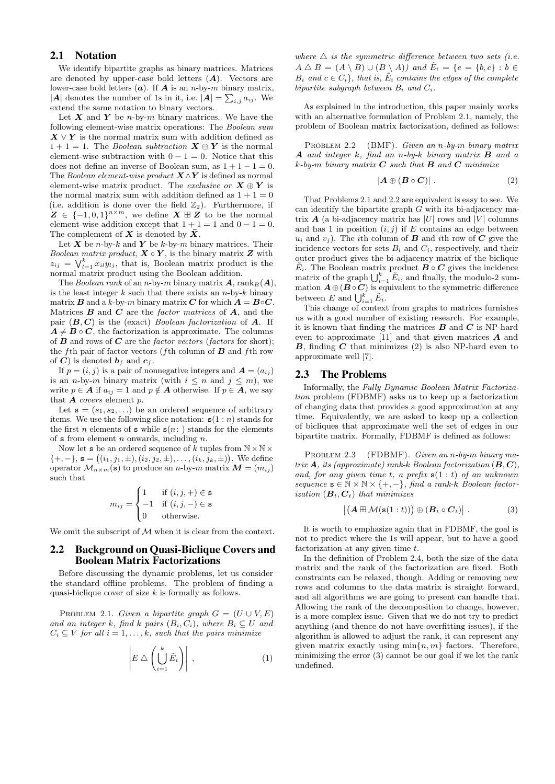# 2.1 Notation

We identify bipartite graphs as binary matrices. Matrices are denoted by upper-case bold letters  $(A)$ . Vectors are lower-case bold letters  $(a)$ . If **A** is an *n*-by-*m* binary matrix, |A| denotes the number of 1s in it, i.e.  $|A| = \sum_{i,j} a_{ij}$ . We extend the same notation to binary vectors.

Let  $X$  and  $Y$  be *n*-by-*m* binary matrices. We have the following element-wise matrix operations: The Boolean sum  $\boldsymbol{X} \vee \boldsymbol{Y}$  is the normal matrix sum with addition defined as  $1 + 1 = 1$ . The *Boolean subtraction*  $X \ominus Y$  is the normal element-wise subtraction with  $0 - 1 = 0$ . Notice that this does not define an inverse of Boolean sum, as  $1 + 1 - 1 = 0$ . The Boolean element-wise product  $X \wedge Y$  is defined as normal element-wise matrix product. The exclusive or  $X \oplus Y$  is the normal matrix sum with addition defined as  $1 + 1 = 0$ (i.e. addition is done over the field  $\mathbb{Z}_2$ ). Furthermore, if  $\mathbf{Z} \in \{-1,0,1\}^{n \times m}$ , we define  $\mathbf{X} \boxplus \mathbf{Z}$  to be the normal element-wise addition except that  $1 + 1 = 1$  and  $0 - 1 = 0$ . The complement of  $X$  is denoted by  $\bar{X}$ .

Let  $X$  be n-by-k and Y be k-by-m binary matrices. Their Boolean matrix product,  $X \circ Y$ , is the binary matrix Z with  $z_{ij} = \bigvee_{l=1}^{k} x_{il}y_{lj}$ , that is, Boolean matrix product is the normal matrix product using the Boolean addition.

The Boolean rank of an n-by-m binary matrix  $\mathbf{A}$ , rank $B(\mathbf{A})$ , is the least integer  $k$  such that there exists an  $n$ -by- $k$  binary matrix **B** and a k-by-m binary matrix **C** for which  $A = B \circ C$ . Matrices  $\bf{B}$  and  $\bf{C}$  are the *factor matrices* of  $\bf{A}$ , and the pair  $(B, C)$  is the (exact) Boolean factorization of A. If  $A \neq B \circ C$ , the factorization is approximate. The columns of  $\bf{B}$  and rows of  $\bf{C}$  are the *factor vectors* (*factors* for short); the fth pair of factor vectors (fth column of  $B$  and fth row of C) is denoted  $\mathbf{b}_f$  and  $\mathbf{c}_f$ .

If  $p = (i, j)$  is a pair of nonnegative integers and  $\mathbf{A} = (a_{ij})$ is an *n*-by-*m* binary matrix (with  $i \leq n$  and  $j \leq m$ ), we write  $p \in A$  if  $a_{ij} = 1$  and  $p \notin A$  otherwise. If  $p \in A$ , we say that  $\boldsymbol{A}$  covers element  $p$ .

Let  $\mathbf{s} = (s_1, s_2, \ldots)$  be an ordered sequence of arbitrary items. We use the following slice notation:  $s(1:n)$  stands for the first *n* elements of **s** while  $s(n: )$  stands for the elements of  $s$  from element n onwards, including n.

Now let **s** be an ordered sequence of k tuples from  $N \times N \times$  $\{+, -\}, \, \mathbf{s} = \big((i_1, j_1, \pm), (i_2, j_2, \pm), \ldots, (i_k, j_k, \pm)\big).$  We define operator  $\mathcal{M}_{n\times m}(\mathbf{s})$  to produce an n-by-m matrix  $\mathbf{M} = (m_{ij})$ such that

$$
m_{ij} = \begin{cases} 1 & \text{if } (i,j,+) \in \mathbf{s} \\ -1 & \text{if } (i,j,-) \in \mathbf{s} \\ 0 & \text{otherwise.} \end{cases}
$$

We omit the subscript of  $M$  when it is clear from the context.

# 2.2 Background on Quasi-Biclique Covers and Boolean Matrix Factorizations

Before discussing the dynamic problems, let us consider the standard offline problems. The problem of finding a quasi-biclique cover of size  $k$  is formally as follows.

PROBLEM 2.1. Given a bipartite graph  $G = (U \cup V, E)$ and an integer k, find k pairs  $(B_i, C_i)$ , where  $B_i \subseteq U$  and  $C_i \subseteq V$  for all  $i = 1, ..., k$ , such that the pairs minimize

$$
\left| E \bigtriangleup \left( \bigcup_{i=1}^{k} \tilde{E}_i \right) \right| , \qquad (1)
$$

where  $\triangle$  is the symmetric difference between two sets (i.e.  $A \bigtriangleup B = (A \setminus B) \cup (B \setminus A)$  and  $\tilde{E}_i = \{e = \{b, c\} : b \in$  $B_i$  and  $c \in C_i$ , that is,  $\tilde{E}_i$  contains the edges of the complete bipartite subgraph between  $B_i$  and  $C_i$ .

As explained in the introduction, this paper mainly works with an alternative formulation of Problem 2.1, namely, the problem of Boolean matrix factorization, defined as follows:

PROBLEM 2.2 (BMF). Given an n-by-m binary matrix A and integer  $k$ , find an n-by-k binary matrix  $B$  and a k-by-m binary matrix  $C$  such that  $B$  and  $C$  minimize

$$
|\boldsymbol{A} \oplus (\boldsymbol{B} \circ \boldsymbol{C})| \ . \tag{2}
$$

That Problems 2.1 and 2.2 are equivalent is easy to see. We can identify the bipartite graph  $G$  with its bi-adjacency matrix  $\mathbf{A}$  (a bi-adjacency matrix has |U| rows and |V| columns and has 1 in position  $(i, j)$  if E contains an edge between  $u_i$  and  $v_j$ ). The *i*th column of **B** and *i*th row of **C** give the incidence vectors for sets  $B_i$  and  $C_i$ , respectively, and their outer product gives the bi-adjacency matrix of the biclique  $E_i$ . The Boolean matrix product  $\mathbf{B} \circ \mathbf{C}$  gives the incidence matrix of the graph  $\bigcup_{i=1}^{k} \tilde{E}_i$ , and finally, the modulo-2 summation  $A \oplus (B \circ C)$  is equivalent to the symmetric difference between E and  $\bigcup_{i=1}^k \tilde{E}_i$ .

This change of context from graphs to matrices furnishes us with a good number of existing research. For example, it is known that finding the matrices  $\bm{B}$  and  $\bm{C}$  is NP-hard even to approximate [11] and that given matrices A and **B**, finding  $C$  that minimizes (2) is also NP-hard even to approximate well [7].

#### 2.3 The Problems

Informally, the Fully Dynamic Boolean Matrix Factorization problem (FDBMF) asks us to keep up a factorization of changing data that provides a good approximation at any time. Equivalently, we are asked to keep up a collection of bicliques that approximate well the set of edges in our bipartite matrix. Formally, FDBMF is defined as follows:

PROBLEM 2.3 (FDBMF). Given an n-by-m binary matrix **A**, its (approximate) rank-k Boolean factorization  $(B, C)$ , and, for any given time t, a prefix  $s(1 : t)$  of an unknown sequence  $\mathbf{s} \in \mathbb{N} \times \mathbb{N} \times \{+, -\},$  find a rank-k Boolean factorization  $(\boldsymbol{B}_t, \boldsymbol{C}_t)$  that minimizes

$$
\left| \big(\mathbf{A} \boxplus \mathcal{M}(\mathbf{s}(1:t))\big) \oplus \left(\mathbf{B}_t \circ \mathbf{C}_t\right) \right| . \tag{3}
$$

It is worth to emphasize again that in FDBMF, the goal is not to predict where the 1s will appear, but to have a good factorization at any given time t.

In the definition of Problem 2.4, both the size of the data matrix and the rank of the factorization are fixed. Both constraints can be relaxed, though. Adding or removing new rows and columns to the data matrix is straight forward, and all algorithms we are going to present can handle that. Allowing the rank of the decomposition to change, however, is a more complex issue. Given that we do not try to predict anything (and thence do not have overfitting issues), if the algorithm is allowed to adjust the rank, it can represent any given matrix exactly using  $\min\{n, m\}$  factors. Therefore, minimizing the error (3) cannot be our goal if we let the rank undefined.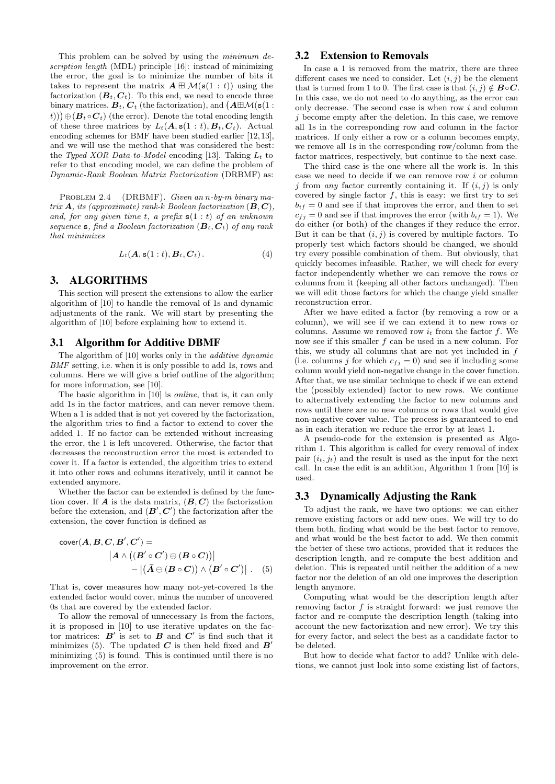This problem can be solved by using the *minimum* description length (MDL) principle [16]: instead of minimizing the error, the goal is to minimize the number of bits it takes to represent the matrix  $\mathbf{A} \boxplus \mathcal{M}(\mathbf{s}(1 : t))$  using the factorization  $(\boldsymbol{B}_t, \boldsymbol{C}_t)$ . To this end, we need to encode three binary matrices,  $\boldsymbol{B}_t, \boldsymbol{C}_t$  (the factorization), and  $(\boldsymbol{A}\boldsymbol{\mathbb{H}}\mathcal{M}(\mathbf{s}(1))$  $(t))(\theta) \oplus (\boldsymbol{B}_t \circ \boldsymbol{C}_t)$  (the error). Denote the total encoding length of these three matrices by  $L_t(\mathbf{A}, \mathbf{s}(1 : t), \mathbf{B}_t, \mathbf{C}_t)$ . Actual encoding schemes for BMF have been studied earlier [12, 13], and we will use the method that was considered the best: the Typed XOR Data-to-Model encoding [13]. Taking  $L_t$  to refer to that encoding model, we can define the problem of Dynamic-Rank Boolean Matrix Factorization (DRBMF) as:

PROBLEM 2.4 (DRBMF). Given an n-by-m binary matrix **A**, its (approximate) rank-k Boolean factorization  $(B, C)$ , and, for any given time t, a prefix  $s(1 : t)$  of an unknown sequence s, find a Boolean factorization  $(B_t, C_t)$  of any rank that minimizes

$$
L_t(\mathbf{A}, \mathbf{s}(1:t), \mathbf{B}_t, \mathbf{C}_t). \tag{4}
$$

# 3. ALGORITHMS

This section will present the extensions to allow the earlier algorithm of [10] to handle the removal of 1s and dynamic adjustments of the rank. We will start by presenting the algorithm of [10] before explaining how to extend it.

#### 3.1 Algorithm for Additive DBMF

The algorithm of [10] works only in the *additive dynamic* BMF setting, i.e. when it is only possible to add 1s, rows and columns. Here we will give a brief outline of the algorithm; for more information, see [10].

The basic algorithm in [10] is online, that is, it can only add 1s in the factor matrices, and can never remove them. When a 1 is added that is not yet covered by the factorization, the algorithm tries to find a factor to extend to cover the added 1. If no factor can be extended without increasing the error, the 1 is left uncovered. Otherwise, the factor that decreases the reconstruction error the most is extended to cover it. If a factor is extended, the algorithm tries to extend it into other rows and columns iteratively, until it cannot be extended anymore.

Whether the factor can be extended is defined by the function cover. If  $\bm{A}$  is the data matrix,  $(\bm{B}, \bm{C})$  the factorization before the extension, and  $(B', C')$  the factorization after the extension, the cover function is defined as

$$
cover(\mathbf{A}, \mathbf{B}, \mathbf{C}, \mathbf{B}', \mathbf{C}') =
$$
  
\n
$$
|\mathbf{A} \wedge ((\mathbf{B}' \circ \mathbf{C}') \ominus (\mathbf{B} \circ \mathbf{C}))|
$$
  
\n
$$
- |(\bar{\mathbf{A}} \ominus (\mathbf{B} \circ \mathbf{C})) \wedge (\mathbf{B}' \circ \mathbf{C}')| . (5)
$$

That is, cover measures how many not-yet-covered 1s the extended factor would cover, minus the number of uncovered 0s that are covered by the extended factor.

To allow the removal of unnecessary 1s from the factors, it is proposed in [10] to use iterative updates on the factor matrices:  $B'$  is set to  $B$  and  $C'$  is find such that it minimizes (5). The updated C is then held fixed and  $B'$ minimizing (5) is found. This is continued until there is no improvement on the error.

# 3.2 Extension to Removals

In case a 1 is removed from the matrix, there are three different cases we need to consider. Let  $(i, j)$  be the element that is turned from 1 to 0. The first case is that  $(i, j) \notin B \circ C$ . In this case, we do not need to do anything, as the error can only decrease. The second case is when row i and column  $j$  become empty after the deletion. In this case, we remove all 1s in the corresponding row and column in the factor matrices. If only either a row or a column becomes empty, we remove all 1s in the corresponding row/column from the factor matrices, respectively, but continue to the next case.

The third case is the one where all the work is. In this case we need to decide if we can remove row i or column i from any factor currently containing it. If  $(i, j)$  is only covered by single factor  $f$ , this is easy: we first try to set  $b_{if} = 0$  and see if that improves the error, and then to set  $c_{fj} = 0$  and see if that improves the error (with  $b_{if} = 1$ ). We do either (or both) of the changes if they reduce the error. But it can be that  $(i, j)$  is covered by multiple factors. To properly test which factors should be changed, we should try every possible combination of them. But obviously, that quickly becomes infeasible. Rather, we will check for every factor independently whether we can remove the rows or columns from it (keeping all other factors unchanged). Then we will edit those factors for which the change yield smaller reconstruction error.

After we have edited a factor (by removing a row or a column), we will see if we can extend it to new rows or columns. Assume we removed row  $i_t$  from the factor f. We now see if this smaller  $f$  can be used in a new column. For this, we study all columns that are not yet included in  $f$ (i.e. columns j for which  $c_{fj} = 0$ ) and see if including some column would yield non-negative change in the cover function. After that, we use similar technique to check if we can extend the (possibly extended) factor to new rows. We continue to alternatively extending the factor to new columns and rows until there are no new columns or rows that would give non-negative cover value. The process is guaranteed to end as in each iteration we reduce the error by at least 1.

A pseudo-code for the extension is presented as Algorithm 1. This algorithm is called for every removal of index pair  $(i_t, j_t)$  and the result is used as the input for the next call. In case the edit is an addition, Algorithm 1 from [10] is used.

#### 3.3 Dynamically Adjusting the Rank

To adjust the rank, we have two options: we can either remove existing factors or add new ones. We will try to do them both, finding what would be the best factor to remove, and what would be the best factor to add. We then commit the better of these two actions, provided that it reduces the description length, and re-compute the best addition and deletion. This is repeated until neither the addition of a new factor nor the deletion of an old one improves the description length anymore.

Computing what would be the description length after removing factor  $f$  is straight forward: we just remove the factor and re-compute the description length (taking into account the new factorization and new error). We try this for every factor, and select the best as a candidate factor to be deleted.

But how to decide what factor to add? Unlike with deletions, we cannot just look into some existing list of factors,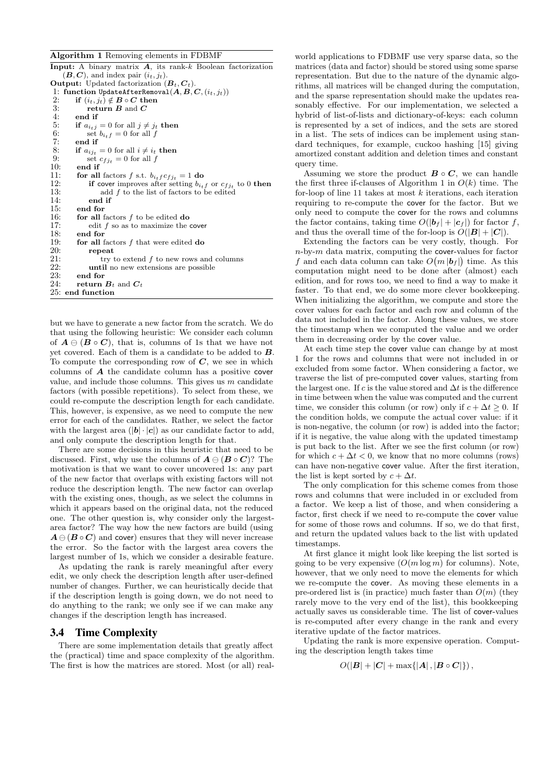Algorithm 1 Removing elements in FDBMF

| <b>Input:</b> A binary matrix $A$ , its rank-k Boolean factorization                      |
|-------------------------------------------------------------------------------------------|
| $(\mathbf{B}, \mathbf{C})$ , and index pair $(i_t, j_t)$ .                                |
| <b>Output:</b> Updated factorization $(B_t, C_t)$ .                                       |
| 1: function UpdateAfterRemoval $(\boldsymbol{A},\boldsymbol{B},\boldsymbol{C},(i_t,j_t))$ |
| 2:<br>if $(i_t, j_t) \notin B \circ C$ then                                               |
| 3:<br>return $B$ and $C$                                                                  |
| 4:<br>end if                                                                              |
| 5:<br><b>if</b> $a_{i_tj} = 0$ for all $j \neq j_t$ then                                  |
| 6:<br>set $b_{i,f} = 0$ for all f                                                         |
| 7:<br>end if                                                                              |
| 8:<br><b>if</b> $a_{ijt} = 0$ for all $i \neq i_t$ then                                   |
| 9:<br>set $c_{f i_t} = 0$ for all f                                                       |
| 10:<br>end if                                                                             |
| 11:<br>for all factors f s.t. $b_{i_t} f c_{f j_t} = 1$ do                                |
| 12:<br>if cover improves after setting $b_{i,f}$ or $c_{f i_t}$ to 0 then                 |
| 13:<br>add $f$ to the list of factors to be edited                                        |
| 14:<br>end if                                                                             |
| 15:<br>end for                                                                            |
| 16:<br>for all factors $f$ to be edited do                                                |
| 17:<br>edit $f$ so as to maximize the cover                                               |
| 18:<br>end for                                                                            |
| 19:<br>for all factors $f$ that were edited do                                            |
| 20:<br>repeat                                                                             |
| 21:<br>try to extend $f$ to new rows and columns                                          |
| 22:<br>until no new extensions are possible                                               |
| 23:<br>end for                                                                            |
| 24:<br>return $B_t$ and $C_t$                                                             |
| 25: end function                                                                          |
|                                                                                           |

but we have to generate a new factor from the scratch. We do that using the following heuristic: We consider each column of  $A \ominus (B \circ C)$ , that is, columns of 1s that we have not yet covered. Each of them is a candidate to be added to B. To compute the corresponding row of  $C$ , we see in which columns of  $A$  the candidate column has a positive cover value, and include those columns. This gives us  $m$  candidate factors (with possible repetitions). To select from these, we could re-compute the description length for each candidate. This, however, is expensive, as we need to compute the new error for each of the candidates. Rather, we select the factor with the largest area  $(|b| \cdot |c|)$  as our candidate factor to add, and only compute the description length for that.

There are some decisions in this heuristic that need to be discussed. First, why use the columns of  $A \ominus (B \circ C)$ ? The motivation is that we want to cover uncovered 1s: any part of the new factor that overlaps with existing factors will not reduce the description length. The new factor can overlap with the existing ones, though, as we select the columns in which it appears based on the original data, not the reduced one. The other question is, why consider only the largestarea factor? The way how the new factors are build (using  $A \ominus (B \circ C)$  and cover) ensures that they will never increase the error. So the factor with the largest area covers the largest number of 1s, which we consider a desirable feature.

As updating the rank is rarely meaningful after every edit, we only check the description length after user-defined number of changes. Further, we can heuristically decide that if the description length is going down, we do not need to do anything to the rank; we only see if we can make any changes if the description length has increased.

### 3.4 Time Complexity

There are some implementation details that greatly affect the (practical) time and space complexity of the algorithm. The first is how the matrices are stored. Most (or all) real-

world applications to FDBMF use very sparse data, so the matrices (data and factor) should be stored using some sparse representation. But due to the nature of the dynamic algorithms, all matrices will be changed during the computation, and the sparse representation should make the updates reasonably effective. For our implementation, we selected a hybrid of list-of-lists and dictionary-of-keys: each column is represented by a set of indices, and the sets are stored in a list. The sets of indices can be implement using standard techniques, for example, cuckoo hashing [15] giving amortized constant addition and deletion times and constant query time.

Assuming we store the product  $B \circ C$ , we can handle the first three if-clauses of Algorithm 1 in  $O(k)$  time. The for-loop of line 11 takes at most  $k$  iterations, each iteration requiring to re-compute the cover for the factor. But we only need to compute the cover for the rows and columns the factor contains, taking time  $O(|\mathbf{b}_f| + |\mathbf{c}_f|)$  for factor f, and thus the overall time of the for-loop is  $O(|\mathbf{B}| + |\mathbf{C}|)$ .

Extending the factors can be very costly, though. For  $n$ -by- $m$  data matrix, computing the cover-values for factor f and each data column can take  $O(m |\mathbf{b}_f|)$  time. As this computation might need to be done after (almost) each edition, and for rows too, we need to find a way to make it faster. To that end, we do some more clever bookkeeping. When initializing the algorithm, we compute and store the cover values for each factor and each row and column of the data not included in the factor. Along these values, we store the timestamp when we computed the value and we order them in decreasing order by the cover value.

At each time step the cover value can change by at most 1 for the rows and columns that were not included in or excluded from some factor. When considering a factor, we traverse the list of pre-computed cover values, starting from the largest one. If c is the value stored and  $\Delta t$  is the difference in time between when the value was computed and the current time, we consider this column (or row) only if  $c + \Delta t \geq 0$ . If the condition holds, we compute the actual cover value: if it is non-negative, the column (or row) is added into the factor; if it is negative, the value along with the updated timestamp is put back to the list. After we see the first column (or row) for which  $c + \Delta t < 0$ , we know that no more columns (rows) can have non-negative cover value. After the first iteration, the list is kept sorted by  $c + \Delta t$ .

The only complication for this scheme comes from those rows and columns that were included in or excluded from a factor. We keep a list of those, and when considering a factor, first check if we need to re-compute the cover value for some of those rows and columns. If so, we do that first, and return the updated values back to the list with updated timestamps.

At first glance it might look like keeping the list sorted is going to be very expensive  $(O(m \log m))$  for columns). Note, however, that we only need to move the elements for which we re-compute the cover. As moving these elements in a pre-ordered list is (in practice) much faster than  $O(m)$  (they rarely move to the very end of the list), this bookkeeping actually saves us considerable time. The list of cover-values is re-computed after every change in the rank and every iterative update of the factor matrices.

Updating the rank is more expensive operation. Computing the description length takes time

 $O(|B| + |C| + \max\{|A|, |B \circ C|\}),$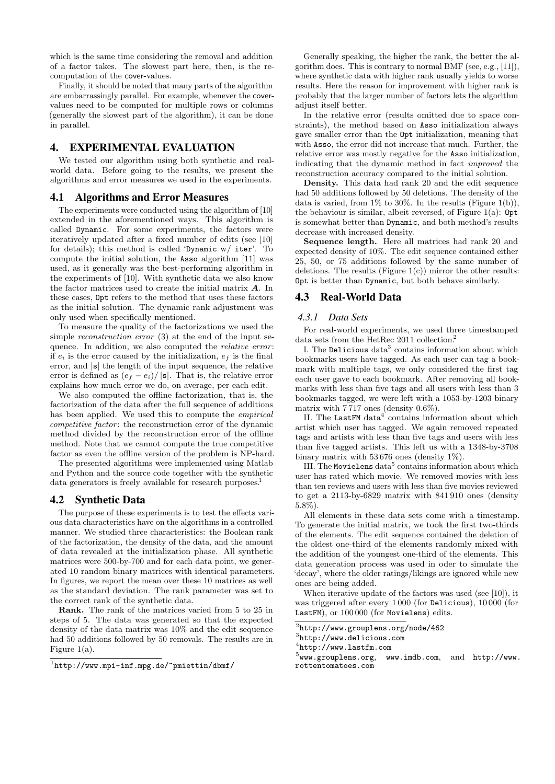which is the same time considering the removal and addition of a factor takes. The slowest part here, then, is the recomputation of the cover-values.

Finally, it should be noted that many parts of the algorithm are embarrassingly parallel. For example, whenever the covervalues need to be computed for multiple rows or columns (generally the slowest part of the algorithm), it can be done in parallel.

# 4. EXPERIMENTAL EVALUATION

We tested our algorithm using both synthetic and realworld data. Before going to the results, we present the algorithms and error measures we used in the experiments.

#### 4.1 Algorithms and Error Measures

The experiments were conducted using the algorithm of [10] extended in the aforementioned ways. This algorithm is called Dynamic. For some experiments, the factors were iteratively updated after a fixed number of edits (see [10] for details); this method is called 'Dynamic w/ iter'. To compute the initial solution, the Asso algorithm [11] was used, as it generally was the best-performing algorithm in the experiments of [10]. With synthetic data we also know the factor matrices used to create the initial matrix A. In these cases, Opt refers to the method that uses these factors as the initial solution. The dynamic rank adjustment was only used when specifically mentioned.

To measure the quality of the factorizations we used the simple *reconstruction error* (3) at the end of the input sequence. In addition, we also computed the *relative error*: if  $e_i$  is the error caused by the initialization,  $e_f$  is the final error, and |s| the length of the input sequence, the relative error is defined as  $(e_f - e_i)/|\mathbf{s}|$ . That is, the relative error explains how much error we do, on average, per each edit.

We also computed the offline factorization, that is, the factorization of the data after the full sequence of additions has been applied. We used this to compute the *empirical* competitive factor: the reconstruction error of the dynamic method divided by the reconstruction error of the offline method. Note that we cannot compute the true competitive factor as even the offline version of the problem is NP-hard.

The presented algorithms were implemented using Matlab and Python and the source code together with the synthetic data generators is freely available for research purposes.<sup>1</sup>

# 4.2 Synthetic Data

The purpose of these experiments is to test the effects various data characteristics have on the algorithms in a controlled manner. We studied three characteristics: the Boolean rank of the factorization, the density of the data, and the amount of data revealed at the initialization phase. All synthetic matrices were 500-by-700 and for each data point, we generated 10 random binary matrices with identical parameters. In figures, we report the mean over these 10 matrices as well as the standard deviation. The rank parameter was set to the correct rank of the synthetic data.

Rank. The rank of the matrices varied from 5 to 25 in steps of 5. The data was generated so that the expected density of the data matrix was 10% and the edit sequence had 50 additions followed by 50 removals. The results are in Figure 1(a).

Generally speaking, the higher the rank, the better the algorithm does. This is contrary to normal BMF (see, e.g., [11]), where synthetic data with higher rank usually yields to worse results. Here the reason for improvement with higher rank is probably that the larger number of factors lets the algorithm adjust itself better.

In the relative error (results omitted due to space constraints), the method based on Asso initialization always gave smaller error than the Opt initialization, meaning that with Asso, the error did not increase that much. Further, the relative error was mostly negative for the Asso initialization, indicating that the dynamic method in fact improved the reconstruction accuracy compared to the initial solution.

Density. This data had rank 20 and the edit sequence had 50 additions followed by 50 deletions. The density of the data is varied, from  $1\%$  to  $30\%$ . In the results (Figure 1(b)), the behaviour is similar, albeit reversed, of Figure 1(a): Opt is somewhat better than Dynamic, and both method's results decrease with increased density.

Sequence length. Here all matrices had rank 20 and expected density of 10%. The edit sequence contained either 25, 50, or 75 additions followed by the same number of deletions. The results (Figure  $1(c)$ ) mirror the other results: Opt is better than Dynamic, but both behave similarly.

# 4.3 Real-World Data

#### *4.3.1 Data Sets*

For real-world experiments, we used three timestamped data sets from the HetRec 2011 collection.<sup>2</sup>

I. The Delicious data<sup>3</sup> contains information about which bookmarks users have tagged. As each user can tag a bookmark with multiple tags, we only considered the first tag each user gave to each bookmark. After removing all bookmarks with less than five tags and all users with less than 3 bookmarks tagged, we were left with a 1053-by-1203 binary matrix with 7 717 ones (density 0.6%).

II. The LastFM data<sup>4</sup> contains information about which artist which user has tagged. We again removed repeated tags and artists with less than five tags and users with less than five tagged artists. This left us with a 1348-by-3708 binary matrix with  $53676$  ones (density  $1\%$ ).

III. The Movielens  $data^5$  contains information about which user has rated which movie. We removed movies with less than ten reviews and users with less than five movies reviewed to get a 2113-by-6829 matrix with 841 910 ones (density 5.8%).

All elements in these data sets come with a timestamp. To generate the initial matrix, we took the first two-thirds of the elements. The edit sequence contained the deletion of the oldest one-third of the elements randomly mixed with the addition of the youngest one-third of the elements. This data generation process was used in oder to simulate the 'decay', where the older ratings/likings are ignored while new ones are being added.

When iterative update of the factors was used (see [10]), it was triggered after every 1 000 (for Delicious), 10 000 (for LastFM), or 100 000 (for Movielens) edits.

<sup>1</sup> http://www.mpi-inf.mpg.de/~pmiettin/dbmf/

<sup>2</sup> http://www.grouplens.org/node/462

<sup>3</sup> http://www.delicious.com

<sup>4</sup> http://www.lastfm.com

<sup>5</sup> www.grouplens.org, www.imdb.com, and http://www. rottentomatoes.com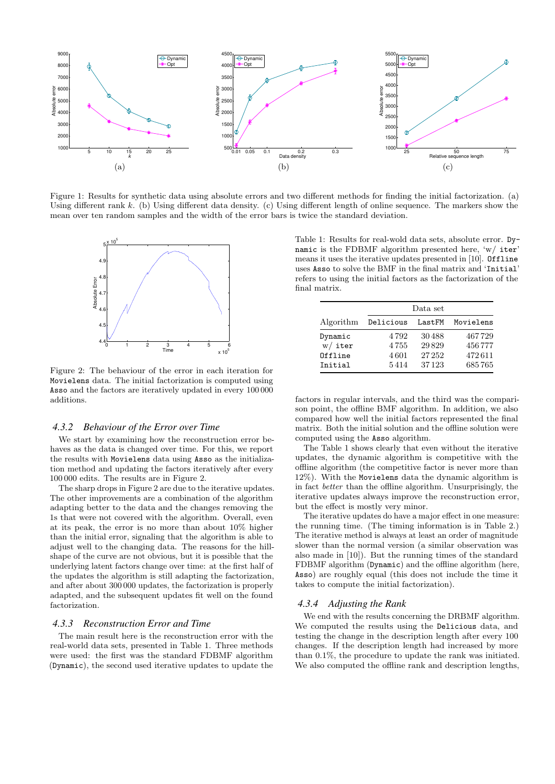

Figure 1: Results for synthetic data using absolute errors and two different methods for finding the initial factorization. (a) Using different rank k. (b) Using different data density. (c) Using different length of online sequence. The markers show the mean over ten random samples and the width of the error bars is twice the standard deviation.



Figure 2: The behaviour of the error in each iteration for Movielens data. The initial factorization is computed using Asso and the factors are iteratively updated in every 100 000 additions.

#### *4.3.2 Behaviour of the Error over Time*

We start by examining how the reconstruction error behaves as the data is changed over time. For this, we report the results with Movielens data using Asso as the initialization method and updating the factors iteratively after every 100 000 edits. The results are in Figure 2.

The sharp drops in Figure 2 are due to the iterative updates. The other improvements are a combination of the algorithm adapting better to the data and the changes removing the 1s that were not covered with the algorithm. Overall, even at its peak, the error is no more than about 10% higher than the initial error, signaling that the algorithm is able to adjust well to the changing data. The reasons for the hillshape of the curve are not obvious, but it is possible that the underlying latent factors change over time: at the first half of the updates the algorithm is still adapting the factorization, and after about 300 000 updates, the factorization is properly adapted, and the subsequent updates fit well on the found factorization.

#### *4.3.3 Reconstruction Error and Time*

The main result here is the reconstruction error with the real-world data sets, presented in Table 1. Three methods were used: the first was the standard FDBMF algorithm (Dynamic), the second used iterative updates to update the

Table 1: Results for real-wold data sets, absolute error. Dynamic is the FDBMF algorithm presented here, 'w/ iter' means it uses the iterative updates presented in [10]. Offline uses Asso to solve the BMF in the final matrix and 'Initial' refers to using the initial factors as the factorization of the final matrix.

|           | Data set  |         |           |  |
|-----------|-----------|---------|-----------|--|
| Algorithm | Delicious | LastFM  | Movielens |  |
| Dynamic   | 4 7 9 2   | 30488   | 467729    |  |
| $w/$ iter | 4755      | 29829   | 456777    |  |
| Offline   | 4601      | 27 25 2 | 472611    |  |
| Initial   | 5414      | 37123   | 685765    |  |

factors in regular intervals, and the third was the comparison point, the offline BMF algorithm. In addition, we also compared how well the initial factors represented the final matrix. Both the initial solution and the offline solution were computed using the Asso algorithm.

The Table 1 shows clearly that even without the iterative updates, the dynamic algorithm is competitive with the offline algorithm (the competitive factor is never more than 12%). With the Movielens data the dynamic algorithm is in fact better than the offline algorithm. Unsurprisingly, the iterative updates always improve the reconstruction error, but the effect is mostly very minor.

The iterative updates do have a major effect in one measure: the running time. (The timing information is in Table 2.) The iterative method is always at least an order of magnitude slower than the normal version (a similar observation was also made in [10]). But the running times of the standard FDBMF algorithm (Dynamic) and the offline algorithm (here, Asso) are roughly equal (this does not include the time it takes to compute the initial factorization).

#### *4.3.4 Adjusting the Rank*

We end with the results concerning the DRBMF algorithm. We computed the results using the Delicious data, and testing the change in the description length after every 100 changes. If the description length had increased by more than 0.1%, the procedure to update the rank was initiated. We also computed the offline rank and description lengths,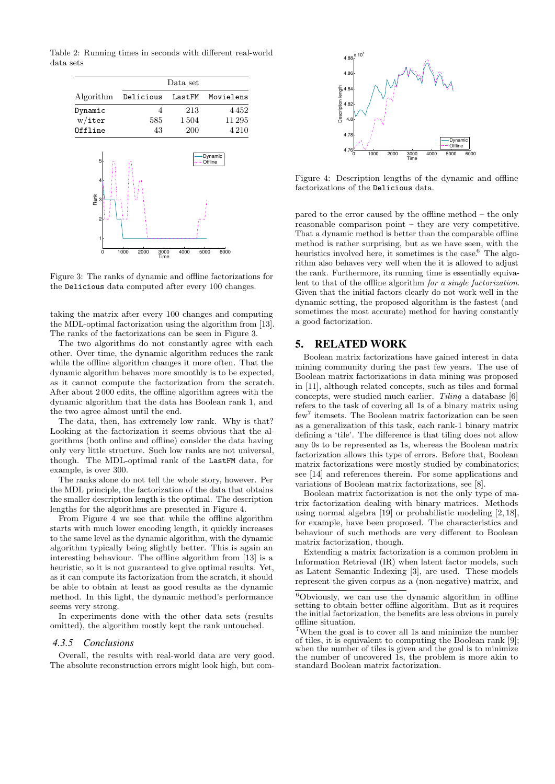Table 2: Running times in seconds with different real-world data sets

|                                                        | Data set                     |        |                                    |
|--------------------------------------------------------|------------------------------|--------|------------------------------------|
| Algorithm                                              | Delicious                    | LastFM | Movielens                          |
| Dynamic                                                | 4                            | 213    | 4 4 5 2                            |
| w/iter                                                 | 585                          | 1504   | 11295                              |
| Offline                                                | 43                           | 200    | 4210                               |
| 5<br>$\overline{4}$<br>Rank<br>3<br>2<br>1<br>$\Omega$ | 1000<br>2000<br>3000<br>Time | 4000   | Dynamic<br>Offline<br>5000<br>6000 |

Figure 3: The ranks of dynamic and offline factorizations for the Delicious data computed after every 100 changes.

taking the matrix after every 100 changes and computing the MDL-optimal factorization using the algorithm from [13]. The ranks of the factorizations can be seen in Figure 3.

The two algorithms do not constantly agree with each other. Over time, the dynamic algorithm reduces the rank while the offline algorithm changes it more often. That the dynamic algorithm behaves more smoothly is to be expected, as it cannot compute the factorization from the scratch. After about 2 000 edits, the offline algorithm agrees with the dynamic algorithm that the data has Boolean rank 1, and the two agree almost until the end.

The data, then, has extremely low rank. Why is that? Looking at the factorization it seems obvious that the algorithms (both online and offline) consider the data having only very little structure. Such low ranks are not universal, though. The MDL-optimal rank of the LastFM data, for example, is over 300.

The ranks alone do not tell the whole story, however. Per the MDL principle, the factorization of the data that obtains the smaller description length is the optimal. The description lengths for the algorithms are presented in Figure 4.

From Figure 4 we see that while the offline algorithm starts with much lower encoding length, it quickly increases to the same level as the dynamic algorithm, with the dynamic algorithm typically being slightly better. This is again an interesting behaviour. The offline algorithm from [13] is a heuristic, so it is not guaranteed to give optimal results. Yet, as it can compute its factorization from the scratch, it should be able to obtain at least as good results as the dynamic method. In this light, the dynamic method's performance seems very strong.

In experiments done with the other data sets (results omitted), the algorithm mostly kept the rank untouched.

#### *4.3.5 Conclusions*

Overall, the results with real-world data are very good. The absolute reconstruction errors might look high, but com-



Figure 4: Description lengths of the dynamic and offline factorizations of the Delicious data.

pared to the error caused by the offline method – the only reasonable comparison point – they are very competitive. That a dynamic method is better than the comparable offline method is rather surprising, but as we have seen, with the heuristics involved here, it sometimes is the case.<sup>6</sup> The algorithm also behaves very well when the it is allowed to adjust the rank. Furthermore, its running time is essentially equivalent to that of the offline algorithm for a single factorization. Given that the initial factors clearly do not work well in the dynamic setting, the proposed algorithm is the fastest (and sometimes the most accurate) method for having constantly a good factorization.

# 5. RELATED WORK

Boolean matrix factorizations have gained interest in data mining community during the past few years. The use of Boolean matrix factorizations in data mining was proposed in [11], although related concepts, such as tiles and formal concepts, were studied much earlier. Tiling a database [6] refers to the task of covering all 1s of a binary matrix using few<sup>7</sup> itemsets. The Boolean matrix factorization can be seen as a generalization of this task, each rank-1 binary matrix defining a 'tile'. The difference is that tiling does not allow any 0s to be represented as 1s, whereas the Boolean matrix factorization allows this type of errors. Before that, Boolean matrix factorizations were mostly studied by combinatorics; see [14] and references therein. For some applications and variations of Boolean matrix factorizations, see [8].

Boolean matrix factorization is not the only type of matrix factorization dealing with binary matrices. Methods using normal algebra [19] or probabilistic modeling [2, 18], for example, have been proposed. The characteristics and behaviour of such methods are very different to Boolean matrix factorization, though.

Extending a matrix factorization is a common problem in Information Retrieval (IR) when latent factor models, such as Latent Semantic Indexing [3], are used. These models represent the given corpus as a (non-negative) matrix, and

 $\sqrt[6]{\text{6}}$ Obviously, we can use the dynamic algorithm in offline setting to obtain better offline algorithm. But as it requires the initial factorization, the benefits are less obvious in purely offline situation.

<sup>7</sup>When the goal is to cover all 1s and minimize the number of tiles, it is equivalent to computing the Boolean rank [9]; when the number of tiles is given and the goal is to minimize the number of uncovered Is, the problem is more akin to standard Boolean matrix factorization.